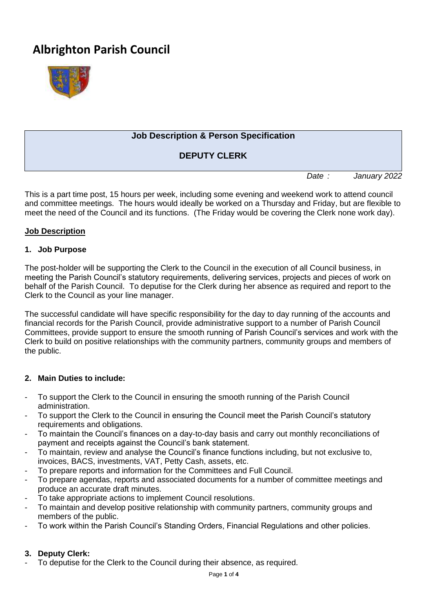# **Albrighton Parish Council**



# **Job Description & Person Specification**

# **DEPUTY CLERK**

*Date : January 2022*

This is a part time post, 15 hours per week, including some evening and weekend work to attend council and committee meetings. The hours would ideally be worked on a Thursday and Friday, but are flexible to meet the need of the Council and its functions. (The Friday would be covering the Clerk none work day).

#### **Job Description**

#### **1. Job Purpose**

The post-holder will be supporting the Clerk to the Council in the execution of all Council business, in meeting the Parish Council's statutory requirements, delivering services, projects and pieces of work on behalf of the Parish Council. To deputise for the Clerk during her absence as required and report to the Clerk to the Council as your line manager.

The successful candidate will have specific responsibility for the day to day running of the accounts and financial records for the Parish Council, provide administrative support to a number of Parish Council Committees, provide support to ensure the smooth running of Parish Council's services and work with the Clerk to build on positive relationships with the community partners, community groups and members of the public.

#### **2. Main Duties to include:**

- To support the Clerk to the Council in ensuring the smooth running of the Parish Council administration.
- To support the Clerk to the Council in ensuring the Council meet the Parish Council's statutory requirements and obligations.
- To maintain the Council's finances on a day-to-day basis and carry out monthly reconciliations of payment and receipts against the Council's bank statement.
- To maintain, review and analyse the Council's finance functions including, but not exclusive to, invoices, BACS, investments, VAT, Petty Cash, assets, etc.
- To prepare reports and information for the Committees and Full Council.
- To prepare agendas, reports and associated documents for a number of committee meetings and produce an accurate draft minutes.
- To take appropriate actions to implement Council resolutions.
- To maintain and develop positive relationship with community partners, community groups and members of the public.
- To work within the Parish Council's Standing Orders, Financial Regulations and other policies.

#### **3. Deputy Clerk:**

To deputise for the Clerk to the Council during their absence, as required.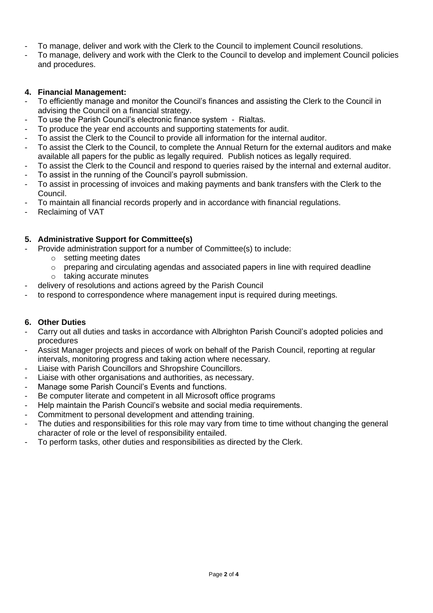- To manage, deliver and work with the Clerk to the Council to implement Council resolutions.
- To manage, delivery and work with the Clerk to the Council to develop and implement Council policies and procedures.

#### **4. Financial Management:**

- To efficiently manage and monitor the Council's finances and assisting the Clerk to the Council in advising the Council on a financial strategy.
- To use the Parish Council's electronic finance system Rialtas.
- To produce the year end accounts and supporting statements for audit.
- To assist the Clerk to the Council to provide all information for the internal auditor.
- To assist the Clerk to the Council, to complete the Annual Return for the external auditors and make available all papers for the public as legally required. Publish notices as legally required.
- To assist the Clerk to the Council and respond to queries raised by the internal and external auditor.
- To assist in the running of the Council's payroll submission.
- To assist in processing of invoices and making payments and bank transfers with the Clerk to the Council.
- To maintain all financial records properly and in accordance with financial regulations.
- Reclaiming of VAT

### **5. Administrative Support for Committee(s)**

- Provide administration support for a number of Committee(s) to include:
	- o setting meeting dates
	- $\circ$  preparing and circulating agendas and associated papers in line with required deadline
	- o taking accurate minutes
- delivery of resolutions and actions agreed by the Parish Council
- to respond to correspondence where management input is required during meetings.

#### **6. Other Duties**

- Carry out all duties and tasks in accordance with Albrighton Parish Council's adopted policies and procedures
- Assist Manager projects and pieces of work on behalf of the Parish Council, reporting at regular intervals, monitoring progress and taking action where necessary.
- Liaise with Parish Councillors and Shropshire Councillors.
- Liaise with other organisations and authorities, as necessary.
- Manage some Parish Council's Events and functions.
- Be computer literate and competent in all Microsoft office programs
- Help maintain the Parish Council's website and social media requirements.
- Commitment to personal development and attending training.
- The duties and responsibilities for this role may vary from time to time without changing the general character of role or the level of responsibility entailed.
- To perform tasks, other duties and responsibilities as directed by the Clerk.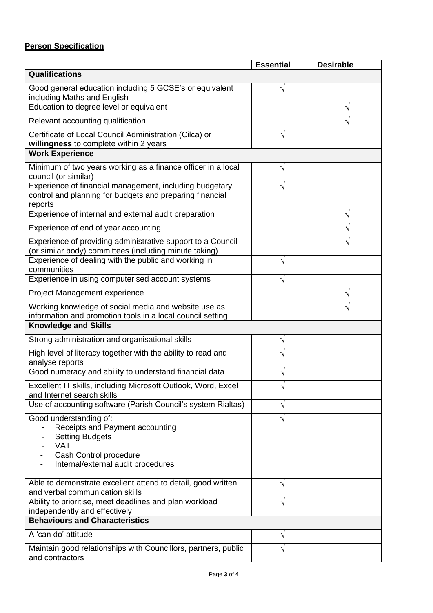# **Person Specification**

|                                                                                                                                | <b>Essential</b> | <b>Desirable</b> |
|--------------------------------------------------------------------------------------------------------------------------------|------------------|------------------|
| Qualifications                                                                                                                 |                  |                  |
| Good general education including 5 GCSE's or equivalent<br>including Maths and English                                         | V                |                  |
| Education to degree level or equivalent                                                                                        |                  |                  |
| Relevant accounting qualification                                                                                              |                  |                  |
| Certificate of Local Council Administration (Cilca) or<br>willingness to complete within 2 years                               | V                |                  |
| <b>Work Experience</b>                                                                                                         |                  |                  |
| Minimum of two years working as a finance officer in a local<br>council (or similar)                                           | V                |                  |
| Experience of financial management, including budgetary<br>control and planning for budgets and preparing financial<br>reports |                  |                  |
| Experience of internal and external audit preparation                                                                          |                  |                  |
| Experience of end of year accounting                                                                                           |                  |                  |
| Experience of providing administrative support to a Council<br>(or similar body) committees (including minute taking)          |                  |                  |
| Experience of dealing with the public and working in<br>communities                                                            |                  |                  |
| Experience in using computerised account systems                                                                               |                  |                  |
| Project Management experience                                                                                                  |                  |                  |
| Working knowledge of social media and website use as<br>information and promotion tools in a local council setting             |                  |                  |
| <b>Knowledge and Skills</b>                                                                                                    |                  |                  |
| Strong administration and organisational skills                                                                                | V                |                  |
| High level of literacy together with the ability to read and<br>analyse reports                                                |                  |                  |
| Good numeracy and ability to understand financial data                                                                         |                  |                  |
| Excellent IT skills, including Microsoft Outlook, Word, Excel<br>and Internet search skills                                    |                  |                  |
| Use of accounting software (Parish Council's system Rialtas)                                                                   | V                |                  |
| Good understanding of:<br>Receipts and Payment accounting<br><b>Setting Budgets</b><br><b>VAT</b>                              |                  |                  |
| Cash Control procedure<br>Internal/external audit procedures                                                                   |                  |                  |
| Able to demonstrate excellent attend to detail, good written<br>and verbal communication skills                                | V                |                  |
| Ability to prioritise, meet deadlines and plan workload<br>independently and effectively                                       | V                |                  |
| <b>Behaviours and Characteristics</b>                                                                                          |                  |                  |
| A 'can do' attitude                                                                                                            | V                |                  |
| Maintain good relationships with Councillors, partners, public<br>and contractors                                              |                  |                  |